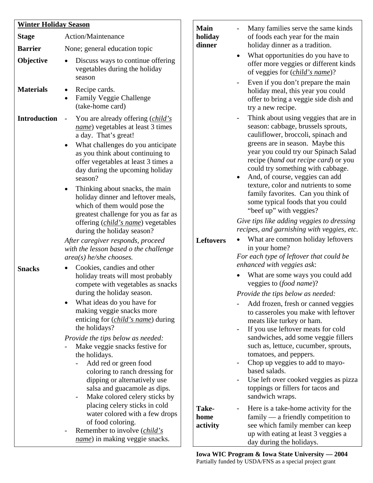| <b>Winter Holiday Season</b> |                                                                                                                                                                                                                                                                                                                                                                                                                                                                                                                                                                                                                                                                                             | <b>Main</b>               | Many families serve the same kinds                                                                                                                                                                                                                                                                                                                                                                                                                                                                                                                                                                                                                                                                                                          |
|------------------------------|---------------------------------------------------------------------------------------------------------------------------------------------------------------------------------------------------------------------------------------------------------------------------------------------------------------------------------------------------------------------------------------------------------------------------------------------------------------------------------------------------------------------------------------------------------------------------------------------------------------------------------------------------------------------------------------------|---------------------------|---------------------------------------------------------------------------------------------------------------------------------------------------------------------------------------------------------------------------------------------------------------------------------------------------------------------------------------------------------------------------------------------------------------------------------------------------------------------------------------------------------------------------------------------------------------------------------------------------------------------------------------------------------------------------------------------------------------------------------------------|
| <b>Stage</b>                 | Action/Maintenance                                                                                                                                                                                                                                                                                                                                                                                                                                                                                                                                                                                                                                                                          | holiday<br>dinner         | of foods each year for the main<br>holiday dinner as a tradition.                                                                                                                                                                                                                                                                                                                                                                                                                                                                                                                                                                                                                                                                           |
| <b>Barrier</b><br>Objective  | None; general education topic<br>Discuss ways to continue offering<br>vegetables during the holiday<br>season                                                                                                                                                                                                                                                                                                                                                                                                                                                                                                                                                                               |                           | What opportunities do you have to<br>$\bullet$<br>offer more veggies or different kinds<br>of veggies for (child's name)?                                                                                                                                                                                                                                                                                                                                                                                                                                                                                                                                                                                                                   |
| <b>Materials</b>             | Recipe cards.<br>$\bullet$<br>Family Veggie Challenge<br>(take-home card)                                                                                                                                                                                                                                                                                                                                                                                                                                                                                                                                                                                                                   |                           | Even if you don't prepare the main<br>holiday meal, this year you could<br>offer to bring a veggie side dish and<br>try a new recipe.                                                                                                                                                                                                                                                                                                                                                                                                                                                                                                                                                                                                       |
| <b>Introduction</b>          | You are already offering (child's<br>$\overline{\phantom{a}}$<br>name) vegetables at least 3 times<br>a day. That's great!<br>What challenges do you anticipate<br>as you think about continuing to<br>offer vegetables at least 3 times a<br>day during the upcoming holiday<br>season?<br>Thinking about snacks, the main<br>holiday dinner and leftover meals,<br>which of them would pose the<br>greatest challenge for you as far as<br>offering ( <i>child's name</i> ) vegetables<br>during the holiday season?<br>After caregiver responds, proceed<br>with the lesson based o the challenge<br>$area(s)$ he/she chooses.                                                           | <b>Leftovers</b>          | Think about using veggies that are in<br>$\overline{\phantom{a}}$<br>season: cabbage, brussels sprouts,<br>cauliflower, broccoli, spinach and<br>greens are in season. Maybe this<br>year you could try our Spinach Salad<br>recipe (hand out recipe card) or you<br>could try something with cabbage.<br>And, of course, veggies can add<br>$\bullet$<br>texture, color and nutrients to some<br>family favorites. Can you think of<br>some typical foods that you could<br>"beef up" with veggies?<br>Give tips like adding veggies to dressing<br>recipes, and garnishing with veggies, etc.<br>What are common holiday leftovers<br>$\bullet$<br>in your home?<br>For each type of leftover that could be<br>enhanced with veggies ask: |
| <b>Snacks</b>                | Cookies, candies and other<br>holiday treats will most probably<br>compete with vegetables as snacks<br>during the holiday season.<br>What ideas do you have for<br>making veggie snacks more<br>enticing for ( <i>child's name</i> ) during<br>the holidays?<br>Provide the tips below as needed:<br>Make veggie snacks festive for<br>the holidays.<br>Add red or green food<br>coloring to ranch dressing for<br>dipping or alternatively use<br>salsa and guacamole as dips.<br>Make colored celery sticks by<br>placing celery sticks in cold<br>water colored with a few drops<br>of food coloring.<br>Remember to involve ( <i>child's</i><br><i>name</i> ) in making veggie snacks. | Take-<br>home<br>activity | What are some ways you could add<br>veggies to (food name)?<br>Provide the tips below as needed:<br>Add frozen, fresh or canned veggies<br>to casseroles you make with leftover<br>meats like turkey or ham.<br>If you use leftover meats for cold<br>$\overline{\phantom{0}}$<br>sandwiches, add some veggie fillers<br>such as, lettuce, cucumber, sprouts,<br>tomatoes, and peppers.<br>Chop up veggies to add to mayo-<br>based salads.<br>Use left over cooked veggies as pizza<br>toppings or fillers for tacos and<br>sandwich wraps.<br>Here is a take-home activity for the<br>$family - a friendly competition to$<br>see which family member can keep<br>up with eating at least 3 veggies a<br>day during the holidays.         |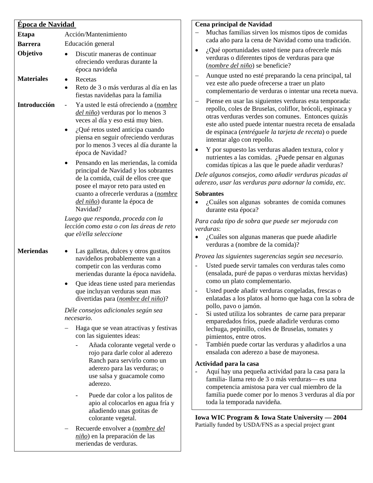| <b>Época de Navidad</b> |                                                                                                                                                                                                                                                         |
|-------------------------|---------------------------------------------------------------------------------------------------------------------------------------------------------------------------------------------------------------------------------------------------------|
| <b>Etapa</b>            | Acción/Mantenimiento                                                                                                                                                                                                                                    |
| <b>Barrera</b>          | Educación general                                                                                                                                                                                                                                       |
| Objetivo                | Discutir maneras de continuar<br>ofreciendo verduras durante la<br>época navideña                                                                                                                                                                       |
| <b>Materiales</b>       | Recetas<br>Reto de 3 o más verduras al día en las<br>fiestas navideñas para la familia                                                                                                                                                                  |
| Introducción            | Ya usted le está ofreciendo a (nombre<br><i>del niño</i> ) verduras por lo menos 3<br>veces al día y eso está muy bien.                                                                                                                                 |
|                         | $i$ Qué retos usted anticipa cuando<br>piensa en seguir ofreciendo verduras<br>por lo menos 3 veces al día durante la<br>época de Navidad?                                                                                                              |
|                         | Pensando en las meriendas, la comida<br>principal de Navidad y los sobrantes<br>de la comida, cuál de ellos cree que<br>posee el mayor reto para usted en<br>cuanto a ofrecerle verduras a (nombre<br><i>del niño</i> ) durante la época de<br>Navidad? |
|                         | Luego que responda, proceda con la<br>lección como esta o con las áreas de reto<br>que el/ella seleccione                                                                                                                                               |
| <b>Meriendas</b>        | Las galletas, dulces y otros gustitos<br>navideños probablemente van a<br>competir con las verduras como<br>meriendas durante la época navideña.                                                                                                        |
|                         | Que ideas tiene usted para meriendas<br>que incluyan verduras sean mas<br>divertidas para ( <i>nombre del niño</i> )?                                                                                                                                   |
|                         | Déle consejos adicionales según sea<br>necesario.                                                                                                                                                                                                       |
|                         | Haga que se vean atractivas y festivas<br>con las siguientes ideas:                                                                                                                                                                                     |
|                         | Añada colorante vegetal verde o<br>rojo para darle color al aderezo<br>Ranch para servirlo como un<br>aderezo para las verduras; o<br>use salsa y guacamole como<br>aderezo.                                                                            |
|                         | Puede dar color a los palitos de<br>apio al colocarlos en agua fría y<br>añadiendo unas gotitas de<br>colorante vegetal.                                                                                                                                |
|                         | Recuerde envolver a <i>(nombre del</i><br>niño) en la preparación de las<br>meriendas de verduras.                                                                                                                                                      |

### **Cena principal de Navidad**

- − Muchas familias sirven los mismos tipos de comidas cada año para la cena de Navidad como una tradición.
- ¿Qué oportunidades usted tiene para ofrecerle más verduras o diferentes tipos de verduras para que (*nombre del niño*) se beneficie?
- − Aunque usted no esté preparando la cena principal, tal vez este año puede ofrecerse a traer un plato complementario de verduras o intentar una receta nueva.
- − Piense en usar las siguientes verduras esta temporada: repollo, coles de Bruselas, coliflor, brócoli, espinaca y otras verduras verdes son comunes. Entonces quizás este año usted puede intentar nuestra receta de ensalada de espinaca (*entréguele la tarjeta de receta*) o puede intentar algo con repollo.
- Y por supuesto las verduras añaden textura, color y nutrientes a las comidas. ¿Puede pensar en algunas comidas típicas a las que le puede añadir verduras?

*Dele algunos consejos, como añadir verduras picadas al aderezo, usar las verduras para adornar la comida, etc.* 

### **Sobrantes**

• ¿Cuáles son algunas sobrantes de comida comunes durante esta época?

*Para cada tipo de sobra que puede ser mejorada con verduras*:

• ¿Cuáles son algunas maneras que puede añadirle verduras a (nombre de la comida)?

*Provea las siguientes sugerencias según sea necesario.*

- Usted puede servir tamales con verduras tales como (ensalada, puré de papas o verduras mixtas hervidas) como un plato complementario.
- Usted puede añadir verduras congeladas, frescas o enlatadas a los platos al horno que haga con la sobra de pollo, pavo o jamón.
- Si usted utiliza los sobrantes de carne para preparar emparedados fríos, puede añadirle verduras como lechuga, pepinillo, coles de Bruselas, tomates y pimientos, entre otros.
- También puede cortar las verduras y añadirlos a una ensalada con aderezo a base de mayonesa.

### **Actividad para la casa**

- Aquí hay una pequeña actividad para la casa para la familia- llama reto de 3 o más verduras— es una competencia amistosa para ver cual miembro de la familia puede comer por lo menos 3 verduras al día por toda la temporada navideña.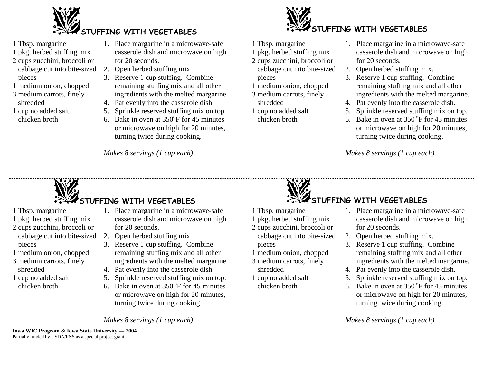

- 1 Tbsp. margarine
- 1 pkg. herbed stuffing mix
- 2 cups zucchini, broccoli or cabbage cut into bite-sized pieces
- 1 medium onion, chopped
- 3 medium carrots, finely shredded
- 1 cup no added salt chicken broth
- 1. Place margarine in a microwave-safe casserole dish and microwave on high for 20 seconds.
- 2. Open herbed stuffing mix.
- 3. Reserve 1 cup stuffing. Combine remaining stuffing mix and all other ingredients with the melted margarine.
- 4. Pat evenly into the casserole dish.
- 5. Sprinkle reserved stuffing mix on top. 6. Bake in oven at  $350^{\circ}$ F for 45 minutes
	- or microwave on high for 20 minutes, turning twice during cooking.

*Makes 8 servings (1 cup each)*

# **UFFING WITH VEGETABLES**

- 1 Tbsp. margarine
- 1 pkg. herbed stuffing mix
- 2 cups zucchini, broccoli or cabbage cut into bite-sized pieces
- 1 medium onion, chopped
- 3 medium carrots, finely shredded
- 1 cup no added salt chicken broth
- 1. Place margarine in a microwave-safe casserole dish and microwave on high for 20 seconds.
- 2. Open herbed stuffing mix.
- 3. Reserve 1 cup stuffing. Combine remaining stuffing mix and all other ingredients with the melted margarine.
- 4. Pat evenly into the casserole dish.
- 5. Sprinkle reserved stuffing mix on top.
- 6. Bake in oven at  $350^{\circ}$ F for 45 minutes or microwave on high for 20 minutes, turning twice during cooking.

*Makes 8 servings (1 cup each)*

# **STUFFING WITH VEGETABLES**

- 1 Tbsp. margarine
- 1 pkg. herbed stuffing mix
- 2 cups zucchini, broccoli or cabbage cut into bite-sized pieces
- 1 medium onion, chopped
- 3 medium carrots, finely shredded
- 1 cup no added salt chicken broth
- 1. Place margarine in a microwave-safe casserole dish and microwave on high for 20 seconds.
- 2. Open herbed stuffing mix.
- 3. Reserve 1 cup stuffing. Combine remaining stuffing mix and all other ingredients with the melted margarine.
- 4. Pat evenly into the casserole dish.
- 5. Sprinkle reserved stuffing mix on top.
- 6. Bake in oven at  $350^{\circ}$ F for 45 minutes or microwave on high for 20 minutes, turning twice during cooking.

*Makes 8 servings (1 cup each)*

# **STUFFING WITH VEGETABLES**

- 1 Tbsp. margarine
- 1 pkg. herbed stuffing mix
- 2 cups zucchini, broccoli or cabbage cut into bite-sized
- pieces
- 1 medium onion, chopped
- 3 medium carrots, finely shredded
- 1 cup no added salt chicken broth
- 1. Place margarine in a microwave-safe casserole dish and microwave on high for 20 seconds.
- 2. Open herbed stuffing mix.
- 3. Reserve 1 cup stuffing. Combine remaining stuffing mix and all other ingredients with the melted margarine.
- 4. Pat evenly into the casserole dish.
- 5. Sprinkle reserved stuffing mix on top.
- 6. Bake in oven at  $350^{\circ}$ F for 45 minutes or microwave on high for 20 minutes, turning twice during cooking.

*Makes 8 servings (1 cup each)*

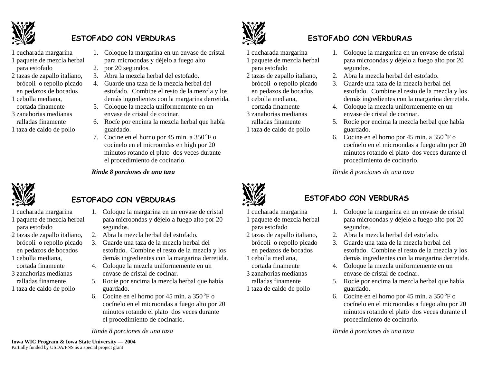

# **ESTOFADO CON VERDURAS**

- 1 cucharada margarina
- 1 paquete de mezcla herbal para estofado
- 2 tazas de zapallo italiano, brócoli o repollo picado en pedazos de bocados
- 1 cebolla mediana, cortada finamente
- 3 zanahorias medianas ralladas finamente
- 1 taza de caldo de pollo
- 1. Coloque la margarina en un envase de cristal para microondas y déjelo a fuego alto
- 2. por 20 segundos.
- 3. Abra la mezcla herbal del estofado.
- 4. Guarde una taza de la mezcla herbal del estofado. Combine el resto de la mezcla y los demás ingredientes con la margarina derretida.
- 5. Coloque la mezcla uniformemente en un envase de cristal de cocinar.
- 6. Rocíe por encima la mezcla herbal que había guardado.
- 7. Cocine en el horno por 45 min. a  $350^{\circ}$ F o cocínelo en el microondas en high por 20 minutos rotando el plato dos veces durante el procedimiento de cocinarlo.

*Rinde 8 porciones de una taza*



# **ESTOFADO CON VERDURAS**

- 1 cucharada margarina
- 1 paquete de mezcla herbal para estofado
- 2 tazas de zapallo italiano, brócoli o repollo picado en pedazos de bocados
- 1 cebolla mediana, cortada finamente
- 3 zanahorias medianas ralladas finamente
- 1 taza de caldo de pollo



- 1. Coloque la margarina en un envase de cristal para microondas y déjelo a fuego alto por 20 segundos.
- 2. Abra la mezcla herbal del estofado.
- 3. Guarde una taza de la mezcla herbal del estofado. Combine el resto de la mezcla y los demás ingredientes con la margarina derretida.
- 4. Coloque la mezcla uniformemente en un envase de cristal de cocinar.
- 5. Rocíe por encima la mezcla herbal que había guardado.
- 6. Cocine en el horno por 45 min. a  $350^{\circ}$ F o cocínelo en el microondas a fuego alto por 20 minutos rotando el plato dos veces durante el procedimiento de cocinarlo.

*Rinde 8 porciones de una taza* 



# **CON VERDURAS**

- 1 cucharada margarina
- 1 paquete de mezcla herbal para estofado
- 2 tazas de zapallo italiano, brócoli o repollo picado en pedazos de bocados 1 cebolla mediana,
- cortada finamente
- 3 zanahorias medianas ralladas finamente 1 taza de caldo de pollo
- 1. Coloque la margarina en un envase de cristal para microondas y déjelo a fuego alto por 20 segundos.
- 2. Abra la mezcla herbal del estofado.
- 3. Guarde una taza de la mezcla herbal del estofado. Combine el resto de la mezcla y los demás ingredientes con la margarina derretida.
- 4. Coloque la mezcla uniformemente en un envase de cristal de cocinar.
- 5. Rocíe por encima la mezcla herbal que había guardado.
- 6. Cocine en el horno por 45 min. a  $350^{\circ}$ F o cocínelo en el microondas a fuego alto por 20 minutos rotando el plato dos veces durante el procedimiento de cocinarlo.

*Rinde 8 porciones de una taza* 



# **ESTOFADO CON VERDURAS**

- 1 cucharada margarina 1 paquete de mezcla herbal para estofado
- 2 tazas de zapallo italiano, brócoli o repollo picado en pedazos de bocados
- 1 cebolla mediana, cortada finamente
- 3 zanahorias medianas
- ralladas finamente 1 taza de caldo de pollo
- 1. Coloque la margarina en un envase de cristal para microondas y déjelo a fuego alto por 20 segundos.
- 2. Abra la mezcla herbal del estofado.
- 3. Guarde una taza de la mezcla herbal del estofado. Combine el resto de la mezcla y los demás ingredientes con la margarina derretida.
- 4. Coloque la mezcla uniformemente en un envase de cristal de cocinar.
- 5. Rocíe por encima la mezcla herbal que había guardado.
- 6. Cocine en el horno por 45 min. a  $350^{\circ}$ F o cocínelo en el microondas a fuego alto por 20 minutos rotando el plato dos veces durante el procedimiento de cocinarlo.

*Rinde 8 porciones de una taza*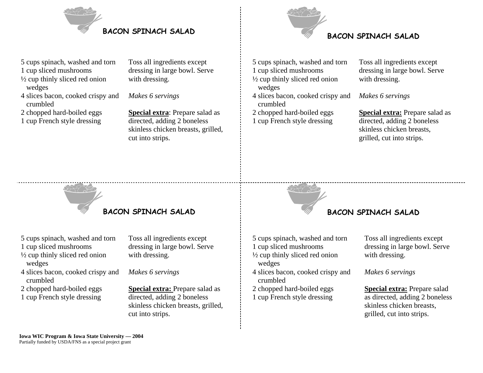



### 5 cups spinach, washed and torn

- 1 cup sliced mushrooms
- ½ cup thinly sliced red onion wedges
- 4 slices bacon, cooked crispy and crumbled
- 2 chopped hard-boiled eggs
- 1 cup French style dressing

Toss all ingredients except dressing in large bowl. Serve with dressing.

*Makes 6 servings* 

**Special extra**: Prepare salad as directed, adding 2 boneless skinless chicken breasts, grilled, cut into strips.

5 cups spinach, washed and torn 1 cup sliced mushrooms ½ cup thinly sliced red onion wedges 4 slices bacon, cooked crispy and crumbled

2 chopped hard-boiled eggs 1 cup French style dressing

Toss all ingredients except dressing in large bowl. Serve with dressing.

*Makes 6 servings* 

**Special extra:** Prepare salad as directed, adding 2 boneless skinless chicken breasts, grilled, cut into strips.

**BACON SPINACH SALAD**

5 cups spinach, washed and torn

- 1 cup sliced mushrooms
- ½ cup thinly sliced red onion wedges
- 4 slices bacon, cooked crispy and crumbled
- 2 chopped hard-boiled eggs
- 1 cup French style dressing

Toss all ingredients except dressing in large bowl. Serve with dressing.

*Makes 6 servings* 

**Special extra: Prepare salad as** directed, adding 2 boneless skinless chicken breasts, grilled, cut into strips.



5 cups spinach, washed and torn 1 cup sliced mushrooms ½ cup thinly sliced red onion

- wedges 4 slices bacon, cooked crispy and
- crumbled
- 2 chopped hard-boiled eggs
- 1 cup French style dressing

## Toss all ingredients except dressing in large bowl. Serve with dressing.

# *Makes 6 servings*

**Special extra:** Prepare salad as directed, adding 2 boneless skinless chicken breasts, grilled, cut into strips.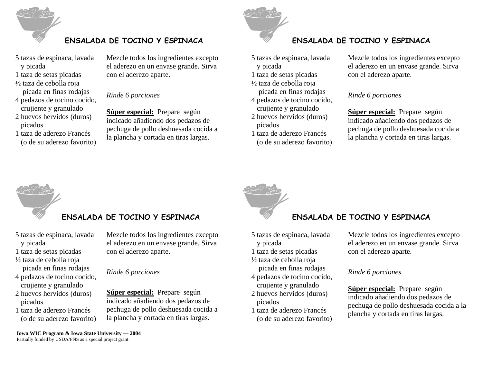

# **ENSALADA DE TOCINO Y ESPINACA ENSALADA DE TOCINO Y ESPINACA**

- 5 tazas de espinaca, lavada y picada
- 1 taza de setas picadas
- ½ taza de cebolla roja
- picada en finas rodajas 4 pedazos de tocino cocido,
- crujiente y granulado 2 huevos hervidos (duros)
- picados
- 1 taza de aderezo Francés (o de su aderezo favorito)

Mezcle todos los ingredientes excepto el aderezo en un envase grande. Sirva con el aderezo aparte.

## *Rinde 6 porciones*

**Súper especial:** Prepare según indicado añadiendo dos pedazos de pechuga de pollo deshuesada cocida a la plancha y cortada en tiras largas.



5 tazas de espinaca, lavada y picada 1 taza de setas picadas

½ taza de cebolla roja picada en finas rodajas

4 pedazos de tocino cocido, crujiente y granulado

- 2 huevos hervidos (duros) picados
- 1 taza de aderezo Francés (o de su aderezo favorito)

Mezcle todos los ingredientes excepto el aderezo en un envase grande. Sirva con el aderezo aparte.

# *Rinde 6 porciones*

**Súper especial:** Prepare según indicado añadiendo dos pedazos de pechuga de pollo deshuesada cocida a la plancha y cortada en tiras largas.

# **ENSALADA DE TOCINO Y ESPINACA ENSALADA DE TOCINO Y ESPINACA**

- 5 tazas de espinaca, lavada y picada
- 1 taza de setas picadas
- ½ taza de cebolla roja picada en finas rodajas
- 4 pedazos de tocino cocido, crujiente y granulado
- 2 huevos hervidos (duros) picados
- 1 taza de aderezo Francés (o de su aderezo favorito)

Mezcle todos los ingredientes excepto el aderezo en un envase grande. Sirva con el aderezo aparte.

### *Rinde 6 porciones*

**Súper especial:** Prepare según indicado añadiendo dos pedazos de pechuga de pollo deshuesada cocida a la plancha y cortada en tiras largas.

- 5 tazas de espinaca, lavada y picada
- 1 taza de setas picadas
- ½ taza de cebolla roja picada en finas rodajas
- 4 pedazos de tocino cocido, crujiente y granulado
- 2 huevos hervidos (duros) picados
- 1 taza de aderezo Francés (o de su aderezo favorito)

Mezcle todos los ingredientes excepto el aderezo en un envase grande. Sirva con el aderezo aparte.

## *Rinde 6 porciones*

**Súper especial:** Prepare según indicado añadiendo dos pedazos de pechuga de pollo deshuesada cocida a la plancha y cortada en tiras largas.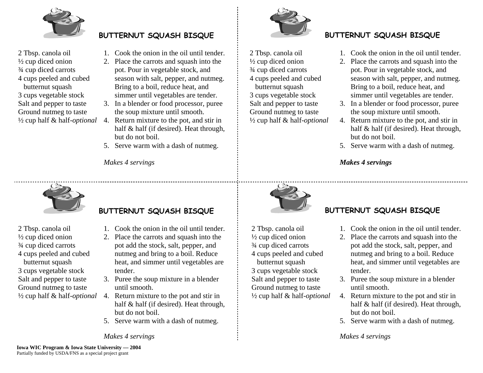

2 Tbsp. canola oil ½ cup diced onion ¾ cup diced carrots 4 cups peeled and cubed butternut squash 3 cups vegetable stock Salt and pepper to taste Ground nutmeg to taste ½ cup half & half-*optional* 

- 1. Cook the onion in the oil until tender.
- 2. Place the carrots and squash into the pot. Pour in vegetable stock, and season with salt, pepper, and nutmeg. Bring to a boil, reduce heat, and simmer until vegetables are tender.
- 3. In a blender or food processor, puree the soup mixture until smooth.
- 4. Return mixture to the pot, and stir in half & half (if desired). Heat through, but do not boil.
- 5. Serve warm with a dash of nutmeg.

*Makes 4 servings* 



### 2 Tbsp. canola oil ½ cup diced onion ¾ cup diced carrots 4 cups peeled and cubed butternut squash 3 cups vegetable stock Salt and pepper to taste Ground nutmeg to taste ½ cup half & half-*optional*

# **BUTTERNUT SQUASH BISQUE BUTTERNUT SQUASH BISQUE**

- 1. Cook the onion in the oil until tender.
- 2. Place the carrots and squash into the pot. Pour in vegetable stock, and season with salt, pepper, and nutmeg. Bring to a boil, reduce heat, and simmer until vegetables are tender.
- 3. In a blender or food processor, puree the soup mixture until smooth.
- 4. Return mixture to the pot, and stir in half & half (if desired). Heat through, but do not boil.
- 5. Serve warm with a dash of nutmeg.

# *Makes 4 servings*



2 Tbsp. canola oil ½ cup diced onion ¾ cup diced carrots 4 cups peeled and cubed butternut squash 3 cups vegetable stock Salt and pepper to taste Ground nutmeg to taste ½ cup half & half-*optional* 

# **BUTTERNUT SQUASH BISQUE BUTTERNUT SQUASH BISQUE**

- 1. Cook the onion in the oil until tender.
- 2. Place the carrots and squash into the pot add the stock, salt, pepper, and nutmeg and bring to a boil. Reduce heat, and simmer until vegetables are tender.
- 3. Puree the soup mixture in a blender until smooth.
- 4. Return mixture to the pot and stir in half & half (if desired). Heat through, but do not boil.
- 5. Serve warm with a dash of nutmeg.

*Makes 4 servings* 



 2 Tbsp. canola oil ½ cup diced onion ¾ cup diced carrots 4 cups peeled and cubed butternut squash 3 cups vegetable stock Salt and pepper to taste Ground nutmeg to taste ½ cup half & half-*optional* 

- 1. Cook the onion in the oil until tender.
- 2. Place the carrots and squash into the pot add the stock, salt, pepper, and nutmeg and bring to a boil. Reduce heat, and simmer until vegetables are tender.
- 3. Puree the soup mixture in a blender until smooth.
- 4. Return mixture to the pot and stir in half & half (if desired). Heat through, but do not boil.
- 5. Serve warm with a dash of nutmeg.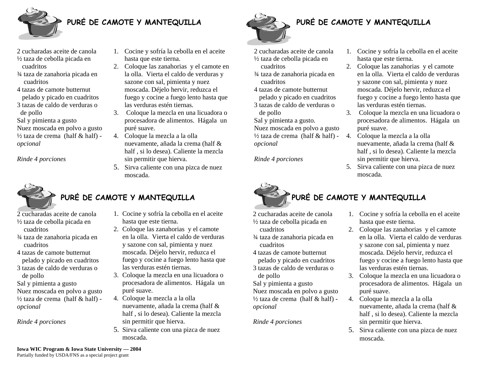

# **PURĖ DE CAMOTE Y MANTEQUILLA PURĖ DE CAMOTE Y MANTEQUILLA**

- 2 cucharadas aceite de canola ½ taza de cebolla picada en cuadritos
- ¾ taza de zanahoria picada en cuadritos
- 4 tazas de camote butternut pelado y picado en cuadritos
- 3 tazas de caldo de verduras o de pollo
- Sal y pimienta a gusto

Nuez moscada en polvo a gusto  $\frac{1}{2}$  taza de crema (half & half) *opcional* 

*Rinde 4 porciones*



# PURĖ DE CAMOTE Y MANTEQUILLA **PURĖ DE CAMOTE Y MANTEQUILLA**

- 2 cucharadas aceite de canola ½ taza de cebolla picada en
	- cuadritos
- ¾ taza de zanahoria picada en cuadritos
- 4 tazas de camote butternut pelado y picado en cuadritos
- 3 tazas de caldo de verduras o de pollo
- Sal y pimienta a gusto Nuez moscada en polvo a gusto  $\frac{1}{2}$  taza de crema (half & half) *opcional*

*Rinde 4 porciones*

- 1. Cocine y sofría la cebolla en el aceite hasta que este tierna.
- 2. Coloque las zanahorias y el camote en la olla. Vierta el caldo de verduras y sazone con sal, pimienta y nuez moscada. Déjelo hervir, reduzca el fuego y cocine a fuego lento hasta que las verduras estén tiernas.
- 3. Coloque la mezcla en una licuadora o procesadora de alimentos. Hágala un puré suave.
- 4. Coloque la mezcla a la olla nuevamente, añada la crema (half & half , si lo desea). Caliente la mezcla sin permitir que hierva.
- 5. Sirva caliente con una pizca de nuez moscada.

- 1. Cocine y sofría la cebolla en el aceite hasta que este tierna.
- 2. Coloque las zanahorias y el camote en la olla. Vierta el caldo de verduras y sazone con sal, pimienta y nuez moscada. Déjelo hervir, reduzca el fuego y cocine a fuego lento hasta que las verduras estén tiernas.
- 3. Coloque la mezcla en una licuadora o procesadora de alimentos. Hágala un puré suave.
- 4. Coloque la mezcla a la olla nuevamente, añada la crema (half & half , si lo desea). Caliente la mezcla sin permitir que hierva.
- 5. Sirva caliente con una pizca de nuez moscada.



- 2 cucharadas aceite de canola ½ taza de cebolla picada en
- cuadritos ¾ taza de zanahoria picada en cuadritos
- 4 tazas de camote butternut pelado y picado en cuadritos
- 3 tazas de caldo de verduras o de pollo
- Sal y pimienta a gusto.
- Nuez moscada en polvo a gusto  $\frac{1}{2}$  taza de crema (half & half) *opcional*

*Rinde 4 porciones*



- 2 cucharadas aceite de canola ½ taza de cebolla picada en cuadritos
- ¾ taza de zanahoria picada en cuadritos
- 4 tazas de camote butternut pelado y picado en cuadritos
- 3 tazas de caldo de verduras o de pollo

Sal y pimienta a gusto Nuez moscada en polvo a gusto  $\frac{1}{2}$  taza de crema (half & half) *opcional* 

*Rinde 4 porciones*

1. Cocine y sofría la cebolla en el aceite hasta que este tierna.

1. Cocine y sofría la cebolla en el aceite

2. Coloque las zanahorias y el camote en la olla. Vierta el caldo de verduras y sazone con sal, pimienta y nuez moscada. Déjelo hervir, reduzca el fuego y cocine a fuego lento hasta que

3. Coloque la mezcla en una licuadora o procesadora de alimentos. Hágala un

nuevamente, añada la crema (half & half , si lo desea). Caliente la mezcla

5. Sirva caliente con una pizca de nuez

hasta que este tierna.

las verduras estén tiernas.

4. Coloque la mezcla a la olla

sin permitir que hierva.

puré suave.

moscada.

- 2. Coloque las zanahorias y el camote en la olla. Vierta el caldo de verduras y sazone con sal, pimienta y nuez moscada. Déjelo hervir, reduzca el fuego y cocine a fuego lento hasta que las verduras estén tiernas.
- 3. Coloque la mezcla en una licuadora o procesadora de alimentos. Hágala un puré suave.
- 4. Coloque la mezcla a la olla nuevamente, añada la crema (half & half , si lo desea). Caliente la mezcla sin permitir que hierva.
- 5. Sirva caliente con una pizca de nuez moscada.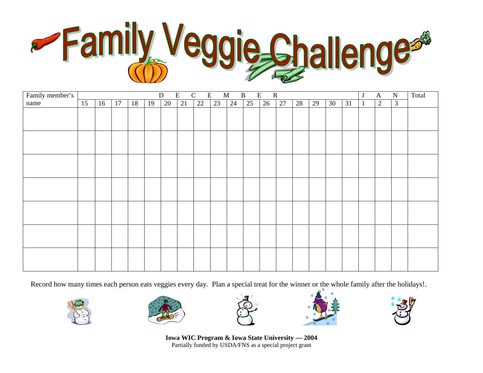

| Family member's | E<br>$\mathbf{B}$<br>E<br>${\bf D}$<br>$\mathcal{C}$<br>$\mathbf E$<br>$\mathbf M$<br>${\bf R}$<br>$\bf J$ |    |    |    |    |    |    |    |    |    |    |    |    |    | $\mathbf{A}$ | ${\bf N}$ | Total |              |   |                |  |
|-----------------|------------------------------------------------------------------------------------------------------------|----|----|----|----|----|----|----|----|----|----|----|----|----|--------------|-----------|-------|--------------|---|----------------|--|
| name            | 15                                                                                                         | 16 | 17 | 18 | 19 | 20 | 21 | 22 | 23 | 24 | 25 | 26 | 27 | 28 | 29           | 30        | 31    | $\mathbf{1}$ | 2 | $\mathfrak{Z}$ |  |
|                 |                                                                                                            |    |    |    |    |    |    |    |    |    |    |    |    |    |              |           |       |              |   |                |  |
|                 |                                                                                                            |    |    |    |    |    |    |    |    |    |    |    |    |    |              |           |       |              |   |                |  |
|                 |                                                                                                            |    |    |    |    |    |    |    |    |    |    |    |    |    |              |           |       |              |   |                |  |
|                 |                                                                                                            |    |    |    |    |    |    |    |    |    |    |    |    |    |              |           |       |              |   |                |  |
|                 |                                                                                                            |    |    |    |    |    |    |    |    |    |    |    |    |    |              |           |       |              |   |                |  |
|                 |                                                                                                            |    |    |    |    |    |    |    |    |    |    |    |    |    |              |           |       |              |   |                |  |
|                 |                                                                                                            |    |    |    |    |    |    |    |    |    |    |    |    |    |              |           |       |              |   |                |  |
|                 |                                                                                                            |    |    |    |    |    |    |    |    |    |    |    |    |    |              |           |       |              |   |                |  |
|                 |                                                                                                            |    |    |    |    |    |    |    |    |    |    |    |    |    |              |           |       |              |   |                |  |
|                 |                                                                                                            |    |    |    |    |    |    |    |    |    |    |    |    |    |              |           |       |              |   |                |  |
|                 |                                                                                                            |    |    |    |    |    |    |    |    |    |    |    |    |    |              |           |       |              |   |                |  |
|                 |                                                                                                            |    |    |    |    |    |    |    |    |    |    |    |    |    |              |           |       |              |   |                |  |
|                 |                                                                                                            |    |    |    |    |    |    |    |    |    |    |    |    |    |              |           |       |              |   |                |  |
|                 |                                                                                                            |    |    |    |    |    |    |    |    |    |    |    |    |    |              |           |       |              |   |                |  |
|                 |                                                                                                            |    |    |    |    |    |    |    |    |    |    |    |    |    |              |           |       |              |   |                |  |
|                 |                                                                                                            |    |    |    |    |    |    |    |    |    |    |    |    |    |              |           |       |              |   |                |  |
|                 |                                                                                                            |    |    |    |    |    |    |    |    |    |    |    |    |    |              |           |       |              |   |                |  |
|                 |                                                                                                            |    |    |    |    |    |    |    |    |    |    |    |    |    |              |           |       |              |   |                |  |
|                 |                                                                                                            |    |    |    |    |    |    |    |    |    |    |    |    |    |              |           |       |              |   |                |  |
|                 |                                                                                                            |    |    |    |    |    |    |    |    |    |    |    |    |    |              |           |       |              |   |                |  |
|                 |                                                                                                            |    |    |    |    |    |    |    |    |    |    |    |    |    |              |           |       |              |   |                |  |

Record how many times each person eats veggies every day. Plan a special treat for the winner or the whole family after the holidays!.